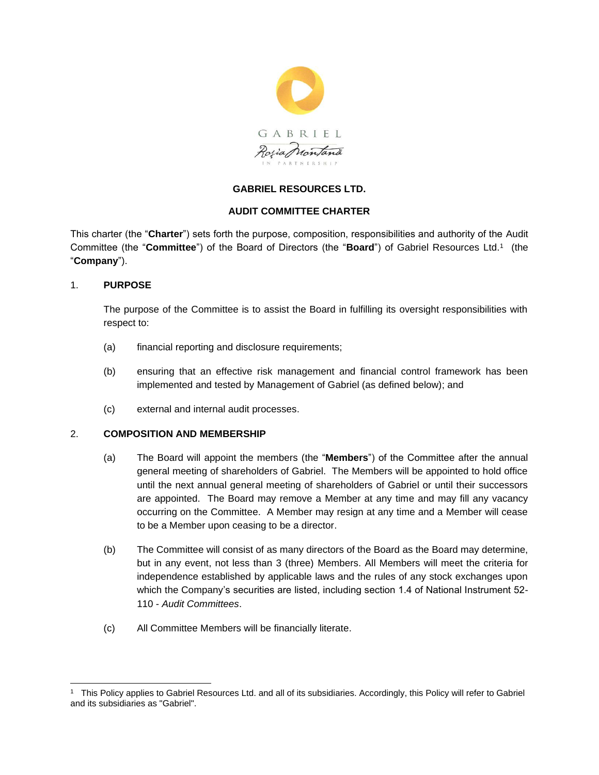

# **GABRIEL RESOURCES LTD.**

# **AUDIT COMMITTEE CHARTER**

This charter (the "**Charter**") sets forth the purpose, composition, responsibilities and authority of the Audit Committee (the "**Committee**") of the Board of Directors (the "**Board**") of Gabriel Resources Ltd.<sup>1</sup> (the "**Company**").

# 1. **PURPOSE**

The purpose of the Committee is to assist the Board in fulfilling its oversight responsibilities with respect to:

- (a) financial reporting and disclosure requirements;
- (b) ensuring that an effective risk management and financial control framework has been implemented and tested by Management of Gabriel (as defined below); and
- (c) external and internal audit processes.

## 2. **COMPOSITION AND MEMBERSHIP**

- (a) The Board will appoint the members (the "**Members**") of the Committee after the annual general meeting of shareholders of Gabriel. The Members will be appointed to hold office until the next annual general meeting of shareholders of Gabriel or until their successors are appointed. The Board may remove a Member at any time and may fill any vacancy occurring on the Committee. A Member may resign at any time and a Member will cease to be a Member upon ceasing to be a director.
- (b) The Committee will consist of as many directors of the Board as the Board may determine, but in any event, not less than 3 (three) Members. All Members will meet the criteria for independence established by applicable laws and the rules of any stock exchanges upon which the Company's securities are listed, including section 1.4 of National Instrument 52- 110 - *Audit Committees*.
- (c) All Committee Members will be financially literate.

<sup>1</sup> This Policy applies to Gabriel Resources Ltd. and all of its subsidiaries. Accordingly, this Policy will refer to Gabriel and its subsidiaries as "Gabriel".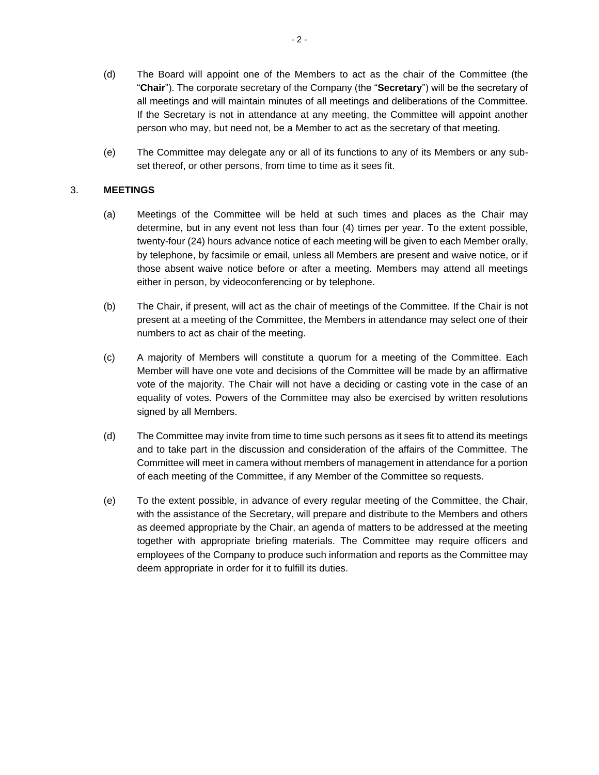- (d) The Board will appoint one of the Members to act as the chair of the Committee (the "**Chair**"). The corporate secretary of the Company (the "**Secretary**") will be the secretary of all meetings and will maintain minutes of all meetings and deliberations of the Committee. If the Secretary is not in attendance at any meeting, the Committee will appoint another person who may, but need not, be a Member to act as the secretary of that meeting.
- (e) The Committee may delegate any or all of its functions to any of its Members or any subset thereof, or other persons, from time to time as it sees fit.

### 3. **MEETINGS**

- (a) Meetings of the Committee will be held at such times and places as the Chair may determine, but in any event not less than four (4) times per year. To the extent possible, twenty-four (24) hours advance notice of each meeting will be given to each Member orally, by telephone, by facsimile or email, unless all Members are present and waive notice, or if those absent waive notice before or after a meeting. Members may attend all meetings either in person, by videoconferencing or by telephone.
- (b) The Chair, if present, will act as the chair of meetings of the Committee. If the Chair is not present at a meeting of the Committee, the Members in attendance may select one of their numbers to act as chair of the meeting.
- (c) A majority of Members will constitute a quorum for a meeting of the Committee. Each Member will have one vote and decisions of the Committee will be made by an affirmative vote of the majority. The Chair will not have a deciding or casting vote in the case of an equality of votes. Powers of the Committee may also be exercised by written resolutions signed by all Members.
- (d) The Committee may invite from time to time such persons as it sees fit to attend its meetings and to take part in the discussion and consideration of the affairs of the Committee. The Committee will meet in camera without members of management in attendance for a portion of each meeting of the Committee, if any Member of the Committee so requests.
- (e) To the extent possible, in advance of every regular meeting of the Committee, the Chair, with the assistance of the Secretary, will prepare and distribute to the Members and others as deemed appropriate by the Chair, an agenda of matters to be addressed at the meeting together with appropriate briefing materials. The Committee may require officers and employees of the Company to produce such information and reports as the Committee may deem appropriate in order for it to fulfill its duties.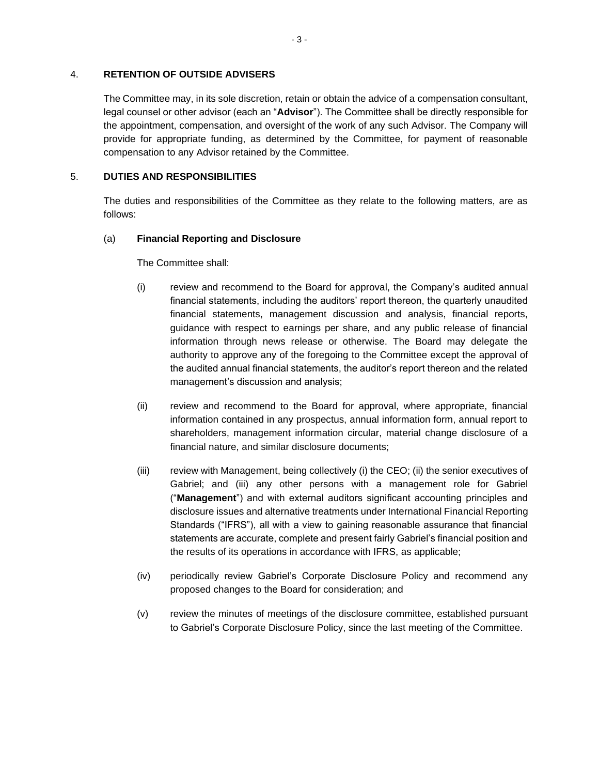#### 4. **RETENTION OF OUTSIDE ADVISERS**

The Committee may, in its sole discretion, retain or obtain the advice of a compensation consultant, legal counsel or other advisor (each an "**Advisor**"). The Committee shall be directly responsible for the appointment, compensation, and oversight of the work of any such Advisor. The Company will provide for appropriate funding, as determined by the Committee, for payment of reasonable compensation to any Advisor retained by the Committee.

#### 5. **DUTIES AND RESPONSIBILITIES**

The duties and responsibilities of the Committee as they relate to the following matters, are as follows:

### (a) **Financial Reporting and Disclosure**

The Committee shall:

- (i) review and recommend to the Board for approval, the Company's audited annual financial statements, including the auditors' report thereon, the quarterly unaudited financial statements, management discussion and analysis, financial reports, guidance with respect to earnings per share, and any public release of financial information through news release or otherwise. The Board may delegate the authority to approve any of the foregoing to the Committee except the approval of the audited annual financial statements, the auditor's report thereon and the related management's discussion and analysis;
- (ii) review and recommend to the Board for approval, where appropriate, financial information contained in any prospectus, annual information form, annual report to shareholders, management information circular, material change disclosure of a financial nature, and similar disclosure documents;
- (iii) review with Management, being collectively (i) the CEO; (ii) the senior executives of Gabriel; and (iii) any other persons with a management role for Gabriel ("**Management**") and with external auditors significant accounting principles and disclosure issues and alternative treatments under International Financial Reporting Standards ("IFRS"), all with a view to gaining reasonable assurance that financial statements are accurate, complete and present fairly Gabriel's financial position and the results of its operations in accordance with IFRS, as applicable;
- (iv) periodically review Gabriel's Corporate Disclosure Policy and recommend any proposed changes to the Board for consideration; and
- (v) review the minutes of meetings of the disclosure committee, established pursuant to Gabriel's Corporate Disclosure Policy, since the last meeting of the Committee.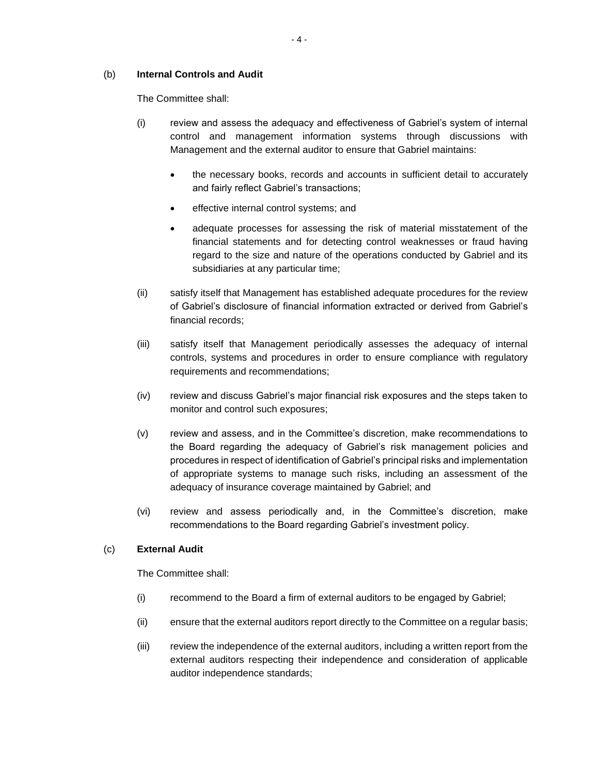### (b) **Internal Controls and Audit**

The Committee shall:

- (i) review and assess the adequacy and effectiveness of Gabriel's system of internal control and management information systems through discussions with Management and the external auditor to ensure that Gabriel maintains:
	- the necessary books, records and accounts in sufficient detail to accurately and fairly reflect Gabriel's transactions;
	- effective internal control systems; and
	- adequate processes for assessing the risk of material misstatement of the financial statements and for detecting control weaknesses or fraud having regard to the size and nature of the operations conducted by Gabriel and its subsidiaries at any particular time;
- (ii) satisfy itself that Management has established adequate procedures for the review of Gabriel's disclosure of financial information extracted or derived from Gabriel's financial records;
- (iii) satisfy itself that Management periodically assesses the adequacy of internal controls, systems and procedures in order to ensure compliance with regulatory requirements and recommendations;
- (iv) review and discuss Gabriel's major financial risk exposures and the steps taken to monitor and control such exposures;
- (v) review and assess, and in the Committee's discretion, make recommendations to the Board regarding the adequacy of Gabriel's risk management policies and procedures in respect of identification of Gabriel's principal risks and implementation of appropriate systems to manage such risks, including an assessment of the adequacy of insurance coverage maintained by Gabriel; and
- (vi) review and assess periodically and, in the Committee's discretion, make recommendations to the Board regarding Gabriel's investment policy.

# (c) **External Audit**

The Committee shall:

- (i) recommend to the Board a firm of external auditors to be engaged by Gabriel;
- (ii) ensure that the external auditors report directly to the Committee on a regular basis;
- (iii) review the independence of the external auditors, including a written report from the external auditors respecting their independence and consideration of applicable auditor independence standards;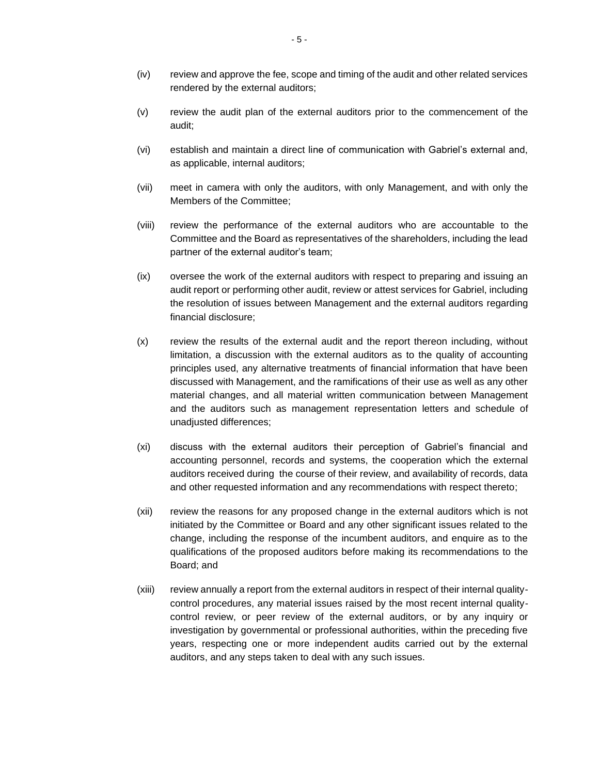- (iv) review and approve the fee, scope and timing of the audit and other related services rendered by the external auditors;
- (v) review the audit plan of the external auditors prior to the commencement of the audit;
- (vi) establish and maintain a direct line of communication with Gabriel's external and, as applicable, internal auditors;
- (vii) meet in camera with only the auditors, with only Management, and with only the Members of the Committee;
- (viii) review the performance of the external auditors who are accountable to the Committee and the Board as representatives of the shareholders, including the lead partner of the external auditor's team;
- (ix) oversee the work of the external auditors with respect to preparing and issuing an audit report or performing other audit, review or attest services for Gabriel, including the resolution of issues between Management and the external auditors regarding financial disclosure;
- (x) review the results of the external audit and the report thereon including, without limitation, a discussion with the external auditors as to the quality of accounting principles used, any alternative treatments of financial information that have been discussed with Management, and the ramifications of their use as well as any other material changes, and all material written communication between Management and the auditors such as management representation letters and schedule of unadjusted differences;
- (xi) discuss with the external auditors their perception of Gabriel's financial and accounting personnel, records and systems, the cooperation which the external auditors received during the course of their review, and availability of records, data and other requested information and any recommendations with respect thereto;
- (xii) review the reasons for any proposed change in the external auditors which is not initiated by the Committee or Board and any other significant issues related to the change, including the response of the incumbent auditors, and enquire as to the qualifications of the proposed auditors before making its recommendations to the Board; and
- (xiii) review annually a report from the external auditors in respect of their internal qualitycontrol procedures, any material issues raised by the most recent internal qualitycontrol review, or peer review of the external auditors, or by any inquiry or investigation by governmental or professional authorities, within the preceding five years, respecting one or more independent audits carried out by the external auditors, and any steps taken to deal with any such issues.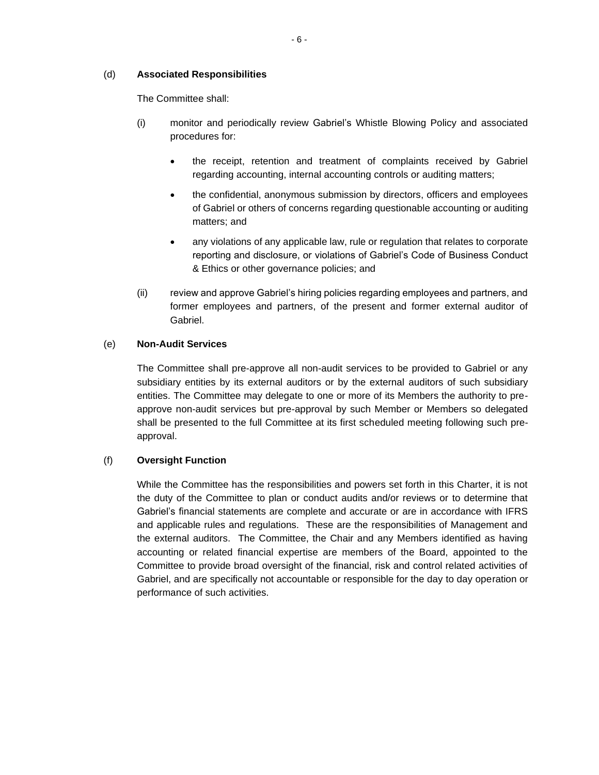### (d) **Associated Responsibilities**

The Committee shall:

- (i) monitor and periodically review Gabriel's Whistle Blowing Policy and associated procedures for:
	- the receipt, retention and treatment of complaints received by Gabriel regarding accounting, internal accounting controls or auditing matters;
	- the confidential, anonymous submission by directors, officers and employees of Gabriel or others of concerns regarding questionable accounting or auditing matters; and
	- any violations of any applicable law, rule or regulation that relates to corporate reporting and disclosure, or violations of Gabriel's Code of Business Conduct & Ethics or other governance policies; and
- (ii) review and approve Gabriel's hiring policies regarding employees and partners, and former employees and partners, of the present and former external auditor of Gabriel.

## (e) **Non-Audit Services**

The Committee shall pre-approve all non-audit services to be provided to Gabriel or any subsidiary entities by its external auditors or by the external auditors of such subsidiary entities. The Committee may delegate to one or more of its Members the authority to preapprove non-audit services but pre-approval by such Member or Members so delegated shall be presented to the full Committee at its first scheduled meeting following such preapproval.

## (f) **Oversight Function**

While the Committee has the responsibilities and powers set forth in this Charter, it is not the duty of the Committee to plan or conduct audits and/or reviews or to determine that Gabriel's financial statements are complete and accurate or are in accordance with IFRS and applicable rules and regulations. These are the responsibilities of Management and the external auditors. The Committee, the Chair and any Members identified as having accounting or related financial expertise are members of the Board, appointed to the Committee to provide broad oversight of the financial, risk and control related activities of Gabriel, and are specifically not accountable or responsible for the day to day operation or performance of such activities.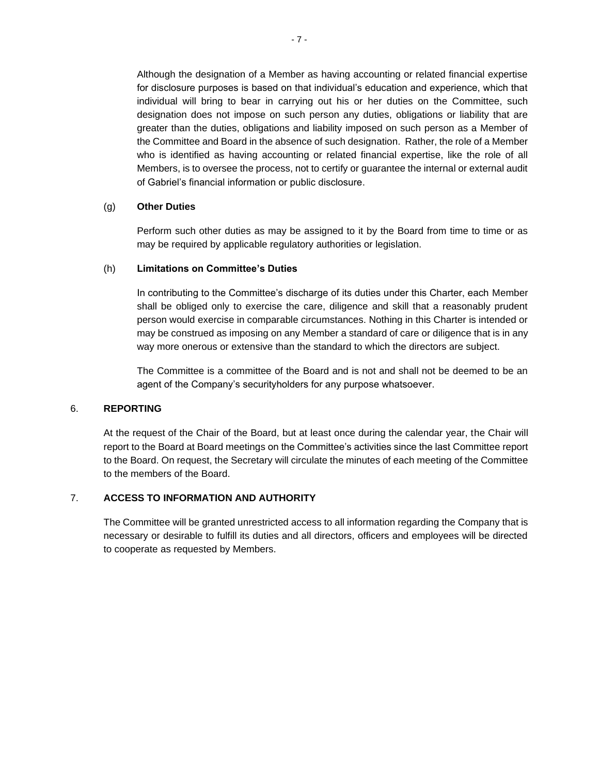Although the designation of a Member as having accounting or related financial expertise for disclosure purposes is based on that individual's education and experience, which that individual will bring to bear in carrying out his or her duties on the Committee, such designation does not impose on such person any duties, obligations or liability that are greater than the duties, obligations and liability imposed on such person as a Member of the Committee and Board in the absence of such designation. Rather, the role of a Member who is identified as having accounting or related financial expertise, like the role of all Members, is to oversee the process, not to certify or guarantee the internal or external audit of Gabriel's financial information or public disclosure.

### (g) **Other Duties**

Perform such other duties as may be assigned to it by the Board from time to time or as may be required by applicable regulatory authorities or legislation.

### (h) **Limitations on Committee's Duties**

In contributing to the Committee's discharge of its duties under this Charter, each Member shall be obliged only to exercise the care, diligence and skill that a reasonably prudent person would exercise in comparable circumstances. Nothing in this Charter is intended or may be construed as imposing on any Member a standard of care or diligence that is in any way more onerous or extensive than the standard to which the directors are subject.

The Committee is a committee of the Board and is not and shall not be deemed to be an agent of the Company's securityholders for any purpose whatsoever.

### 6. **REPORTING**

At the request of the Chair of the Board, but at least once during the calendar year, the Chair will report to the Board at Board meetings on the Committee's activities since the last Committee report to the Board. On request, the Secretary will circulate the minutes of each meeting of the Committee to the members of the Board.

## 7. **ACCESS TO INFORMATION AND AUTHORITY**

The Committee will be granted unrestricted access to all information regarding the Company that is necessary or desirable to fulfill its duties and all directors, officers and employees will be directed to cooperate as requested by Members.